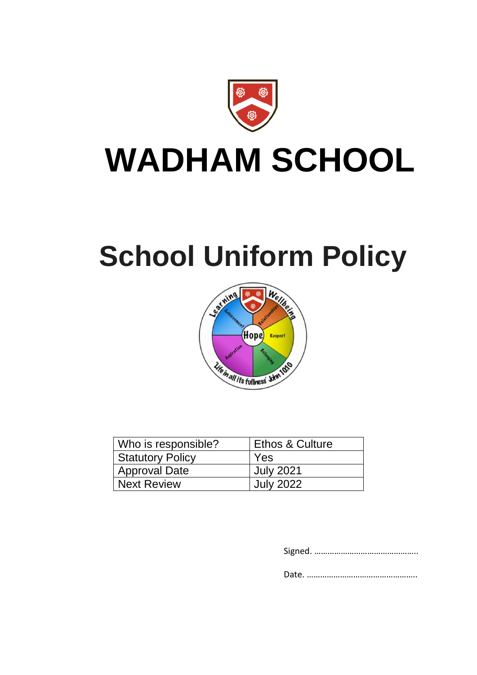

# **WADHAM SCHOOL**

# **School Uniform Policy**



| Who is responsible?     | Ethos & Culture  |
|-------------------------|------------------|
| <b>Statutory Policy</b> | Yes              |
| <b>Approval Date</b>    | <b>July 2021</b> |
| <b>Next Review</b>      | <b>July 2022</b> |

Signed. ………………………………………..

Date. …………………………………………..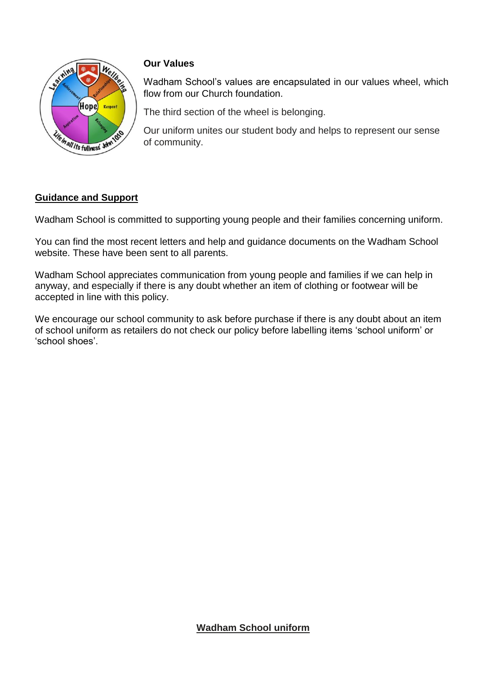

# **Our Values**

Wadham School's values are encapsulated in our values wheel, which flow from our Church foundation.

The third section of the wheel is belonging.

Our uniform unites our student body and helps to represent our sense of community.

# **Guidance and Support**

Wadham School is committed to supporting young people and their families concerning uniform.

You can find the most recent letters and help and guidance documents on the Wadham School website. These have been sent to all parents.

Wadham School appreciates communication from young people and families if we can help in anyway, and especially if there is any doubt whether an item of clothing or footwear will be accepted in line with this policy.

We encourage our school community to ask before purchase if there is any doubt about an item of school uniform as retailers do not check our policy before labelling items 'school uniform' or 'school shoes'.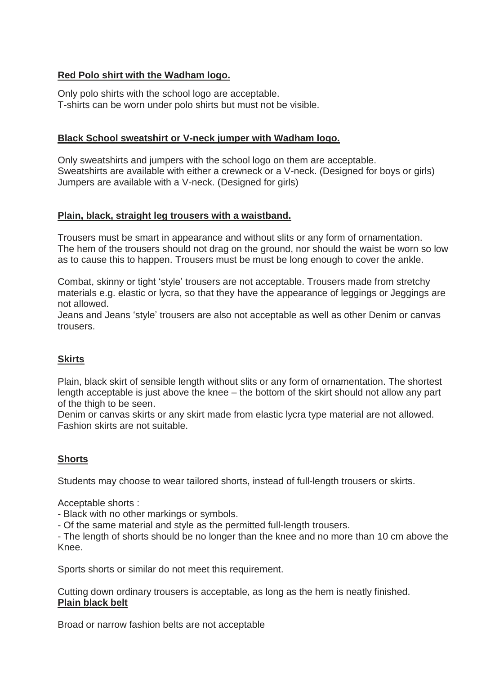# **Red Polo shirt with the Wadham logo.**

Only polo shirts with the school logo are acceptable. T-shirts can be worn under polo shirts but must not be visible.

#### **Black School sweatshirt or V-neck jumper with Wadham logo.**

Only sweatshirts and jumpers with the school logo on them are acceptable. Sweatshirts are available with either a crewneck or a V-neck. (Designed for boys or girls) Jumpers are available with a V-neck. (Designed for girls)

#### **Plain, black, straight leg trousers with a waistband.**

Trousers must be smart in appearance and without slits or any form of ornamentation. The hem of the trousers should not drag on the ground, nor should the waist be worn so low as to cause this to happen. Trousers must be must be long enough to cover the ankle.

Combat, skinny or tight 'style' trousers are not acceptable. Trousers made from stretchy materials e.g. elastic or lycra, so that they have the appearance of leggings or Jeggings are not allowed.

Jeans and Jeans 'style' trousers are also not acceptable as well as other Denim or canvas trousers.

# **Skirts**

Plain, black skirt of sensible length without slits or any form of ornamentation. The shortest length acceptable is just above the knee – the bottom of the skirt should not allow any part of the thigh to be seen.

Denim or canvas skirts or any skirt made from elastic lycra type material are not allowed. Fashion skirts are not suitable.

# **Shorts**

Students may choose to wear tailored shorts, instead of full-length trousers or skirts.

Acceptable shorts :

- Black with no other markings or symbols.
- Of the same material and style as the permitted full-length trousers.

- The length of shorts should be no longer than the knee and no more than 10 cm above the Knee.

Sports shorts or similar do not meet this requirement.

Cutting down ordinary trousers is acceptable, as long as the hem is neatly finished. **Plain black belt**

Broad or narrow fashion belts are not acceptable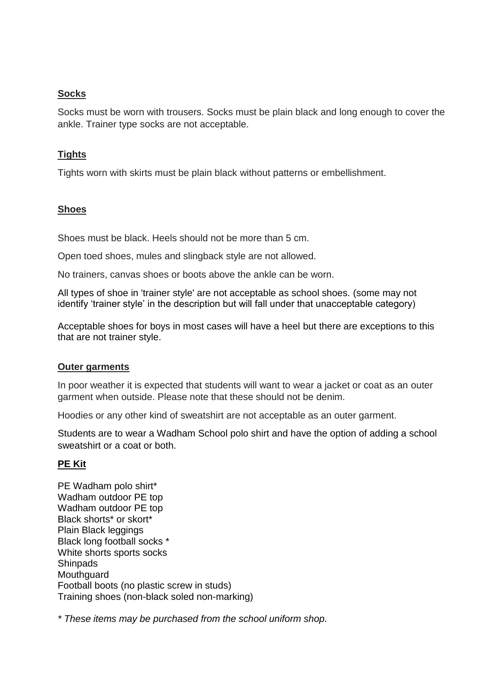#### **Socks**

Socks must be worn with trousers. Socks must be plain black and long enough to cover the ankle. Trainer type socks are not acceptable.

### **Tights**

Tights worn with skirts must be plain black without patterns or embellishment.

#### **Shoes**

Shoes must be black. Heels should not be more than 5 cm.

Open toed shoes, mules and slingback style are not allowed.

No trainers, canvas shoes or boots above the ankle can be worn.

All types of shoe in 'trainer style' are not acceptable as school shoes. (some may not identify 'trainer style' in the description but will fall under that unacceptable category)

Acceptable shoes for boys in most cases will have a heel but there are exceptions to this that are not trainer style.

#### **Outer garments**

In poor weather it is expected that students will want to wear a jacket or coat as an outer garment when outside. Please note that these should not be denim.

Hoodies or any other kind of sweatshirt are not acceptable as an outer garment.

Students are to wear a Wadham School polo shirt and have the option of adding a school sweatshirt or a coat or both.

#### **PE Kit**

PE Wadham polo shirt\* Wadham outdoor PE top Wadham outdoor PE top Black shorts\* or skort\* Plain Black leggings Black long football socks \* White shorts sports socks **Shinpads Mouthquard** Football boots (no plastic screw in studs) Training shoes (non-black soled non-marking)

*\* These items may be purchased from the school uniform shop.*